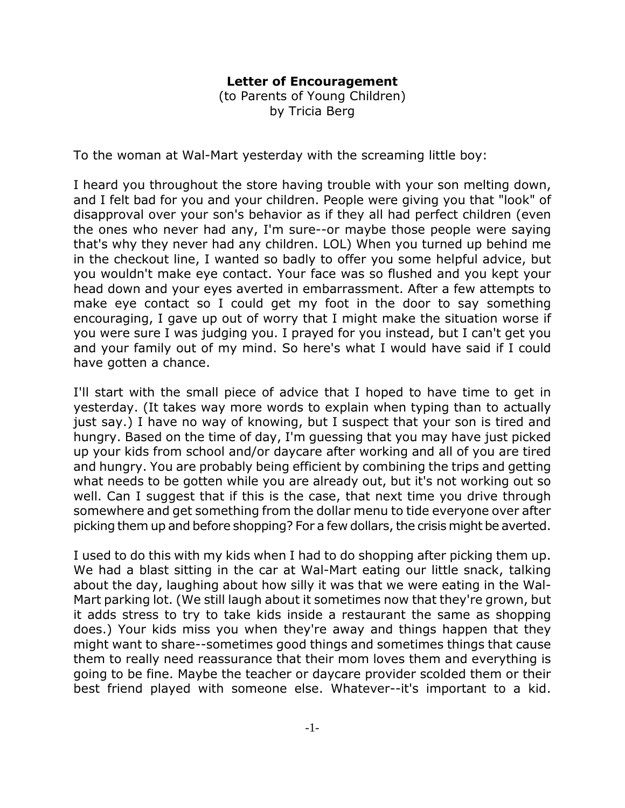## **Letter of Encouragement**

(to Parents of Young Children) by Tricia Berg

To the woman at Wal-Mart yesterday with the screaming little boy:

I heard you throughout the store having trouble with your son melting down, and I felt bad for you and your children. People were giving you that "look" of disapproval over your son's behavior as if they all had perfect children (even the ones who never had any, I'm sure--or maybe those people were saying that's why they never had any children. LOL) When you turned up behind me in the checkout line, I wanted so badly to offer you some helpful advice, but you wouldn't make eye contact. Your face was so flushed and you kept your head down and your eyes averted in embarrassment. After a few attempts to make eye contact so I could get my foot in the door to say something encouraging, I gave up out of worry that I might make the situation worse if you were sure I was judging you. I prayed for you instead, but I can't get you and your family out of my mind. So here's what I would have said if I could have gotten a chance.

I'll start with the small piece of advice that I hoped to have time to get in yesterday. (It takes way more words to explain when typing than to actually just say.) I have no way of knowing, but I suspect that your son is tired and hungry. Based on the time of day, I'm guessing that you may have just picked up your kids from school and/or daycare after working and all of you are tired and hungry. You are probably being efficient by combining the trips and getting what needs to be gotten while you are already out, but it's not working out so well. Can I suggest that if this is the case, that next time you drive through somewhere and get something from the dollar menu to tide everyone over after picking them up and before shopping? For a few dollars, the crisis might be averted.

I used to do this with my kids when I had to do shopping after picking them up. We had a blast sitting in the car at Wal-Mart eating our little snack, talking about the day, laughing about how silly it was that we were eating in the Wal-Mart parking lot. (We still laugh about it sometimes now that they're grown, but it adds stress to try to take kids inside a restaurant the same as shopping does.) Your kids miss you when they're away and things happen that they might want to share--sometimes good things and sometimes things that cause them to really need reassurance that their mom loves them and everything is going to be fine. Maybe the teacher or daycare provider scolded them or their best friend played with someone else. Whatever--it's important to a kid.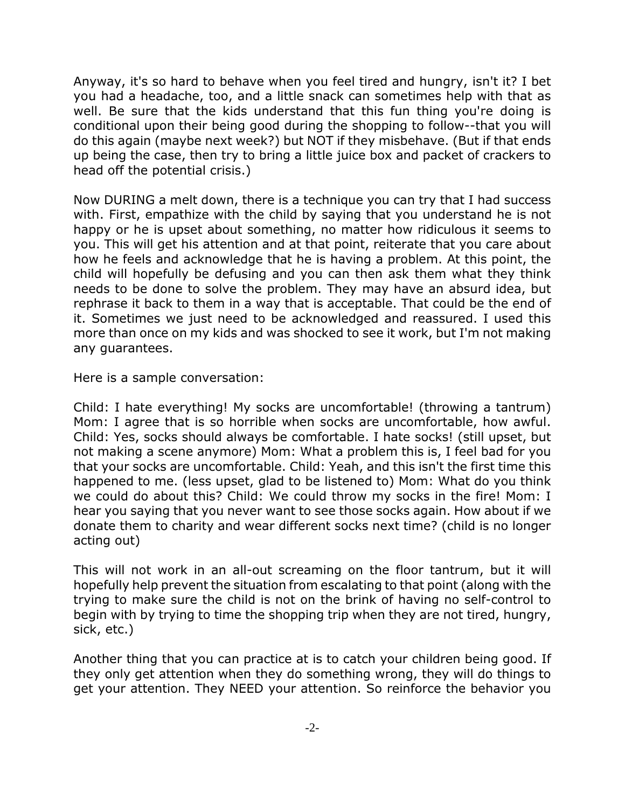Anyway, it's so hard to behave when you feel tired and hungry, isn't it? I bet you had a headache, too, and a little snack can sometimes help with that as well. Be sure that the kids understand that this fun thing you're doing is conditional upon their being good during the shopping to follow--that you will do this again (maybe next week?) but NOT if they misbehave. (But if that ends up being the case, then try to bring a little juice box and packet of crackers to head off the potential crisis.)

Now DURING a melt down, there is a technique you can try that I had success with. First, empathize with the child by saying that you understand he is not happy or he is upset about something, no matter how ridiculous it seems to you. This will get his attention and at that point, reiterate that you care about how he feels and acknowledge that he is having a problem. At this point, the child will hopefully be defusing and you can then ask them what they think needs to be done to solve the problem. They may have an absurd idea, but rephrase it back to them in a way that is acceptable. That could be the end of it. Sometimes we just need to be acknowledged and reassured. I used this more than once on my kids and was shocked to see it work, but I'm not making any guarantees.

Here is a sample conversation:

Child: I hate everything! My socks are uncomfortable! (throwing a tantrum) Mom: I agree that is so horrible when socks are uncomfortable, how awful. Child: Yes, socks should always be comfortable. I hate socks! (still upset, but not making a scene anymore) Mom: What a problem this is, I feel bad for you that your socks are uncomfortable. Child: Yeah, and this isn't the first time this happened to me. (less upset, glad to be listened to) Mom: What do you think we could do about this? Child: We could throw my socks in the fire! Mom: I hear you saying that you never want to see those socks again. How about if we donate them to charity and wear different socks next time? (child is no longer acting out)

This will not work in an all-out screaming on the floor tantrum, but it will hopefully help prevent the situation from escalating to that point (along with the trying to make sure the child is not on the brink of having no self-control to begin with by trying to time the shopping trip when they are not tired, hungry, sick, etc.)

Another thing that you can practice at is to catch your children being good. If they only get attention when they do something wrong, they will do things to get your attention. They NEED your attention. So reinforce the behavior you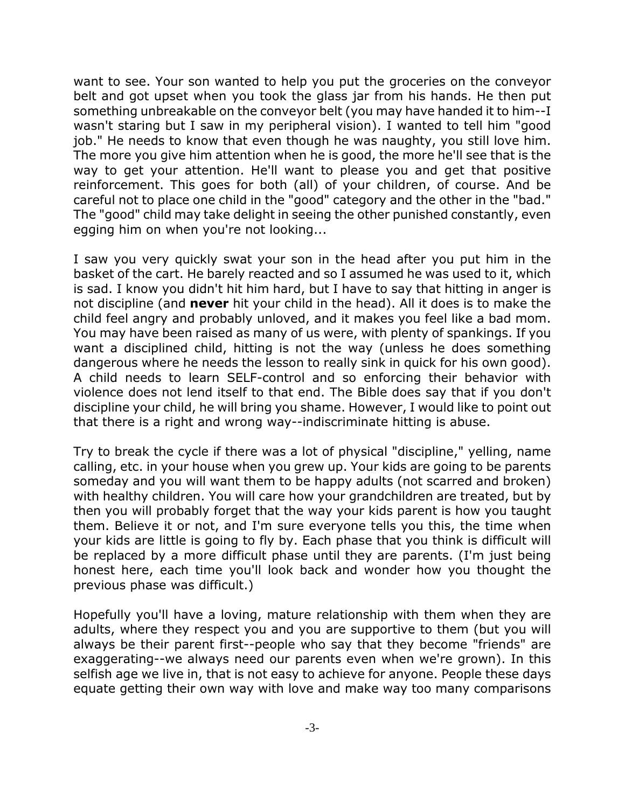want to see. Your son wanted to help you put the groceries on the conveyor belt and got upset when you took the glass jar from his hands. He then put something unbreakable on the conveyor belt (you may have handed it to him--I wasn't staring but I saw in my peripheral vision). I wanted to tell him "good job." He needs to know that even though he was naughty, you still love him. The more you give him attention when he is good, the more he'll see that is the way to get your attention. He'll want to please you and get that positive reinforcement. This goes for both (all) of your children, of course. And be careful not to place one child in the "good" category and the other in the "bad." The "good" child may take delight in seeing the other punished constantly, even egging him on when you're not looking...

I saw you very quickly swat your son in the head after you put him in the basket of the cart. He barely reacted and so I assumed he was used to it, which is sad. I know you didn't hit him hard, but I have to say that hitting in anger is not discipline (and **never** hit your child in the head). All it does is to make the child feel angry and probably unloved, and it makes you feel like a bad mom. You may have been raised as many of us were, with plenty of spankings. If you want a disciplined child, hitting is not the way (unless he does something dangerous where he needs the lesson to really sink in quick for his own good). A child needs to learn SELF-control and so enforcing their behavior with violence does not lend itself to that end. The Bible does say that if you don't discipline your child, he will bring you shame. However, I would like to point out that there is a right and wrong way--indiscriminate hitting is abuse.

Try to break the cycle if there was a lot of physical "discipline," yelling, name calling, etc. in your house when you grew up. Your kids are going to be parents someday and you will want them to be happy adults (not scarred and broken) with healthy children. You will care how your grandchildren are treated, but by then you will probably forget that the way your kids parent is how you taught them. Believe it or not, and I'm sure everyone tells you this, the time when your kids are little is going to fly by. Each phase that you think is difficult will be replaced by a more difficult phase until they are parents. (I'm just being honest here, each time you'll look back and wonder how you thought the previous phase was difficult.)

Hopefully you'll have a loving, mature relationship with them when they are adults, where they respect you and you are supportive to them (but you will always be their parent first--people who say that they become "friends" are exaggerating--we always need our parents even when we're grown). In this selfish age we live in, that is not easy to achieve for anyone. People these days equate getting their own way with love and make way too many comparisons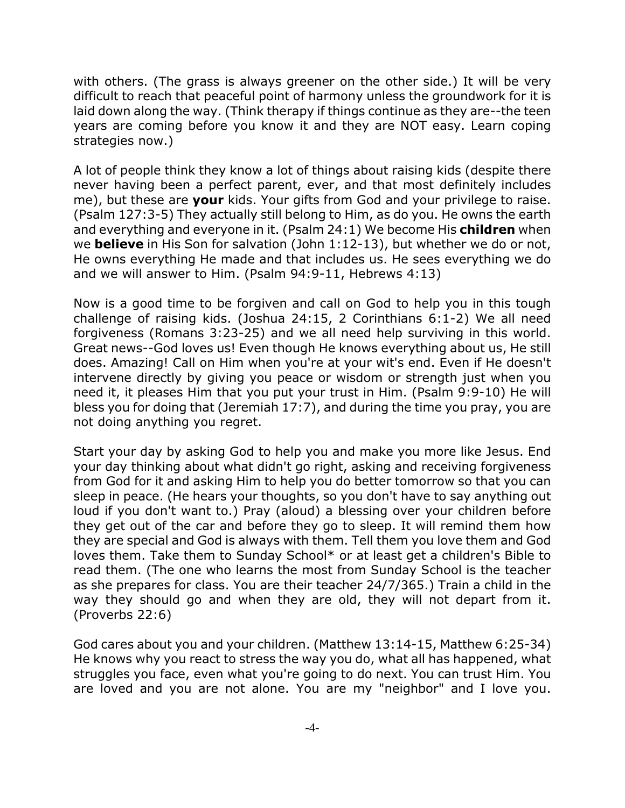with others. (The grass is always greener on the other side.) It will be very difficult to reach that peaceful point of harmony unless the groundwork for it is laid down along the way. (Think therapy if things continue as they are--the teen years are coming before you know it and they are NOT easy. Learn coping strategies now.)

A lot of people think they know a lot of things about raising kids (despite there never having been a perfect parent, ever, and that most definitely includes me), but these are **your** kids. Your gifts from God and your privilege to raise. (Psalm 127:3-5) They actually still belong to Him, as do you. He owns the earth and everything and everyone in it. (Psalm 24:1) We become His **children** when we **believe** in His Son for salvation (John 1:12-13), but whether we do or not, He owns everything He made and that includes us. He sees everything we do and we will answer to Him. (Psalm 94:9-11, Hebrews 4:13)

Now is a good time to be forgiven and call on God to help you in this tough challenge of raising kids. (Joshua 24:15, 2 Corinthians 6:1-2) We all need forgiveness (Romans 3:23-25) and we all need help surviving in this world. Great news--God loves us! Even though He knows everything about us, He still does. Amazing! Call on Him when you're at your wit's end. Even if He doesn't intervene directly by giving you peace or wisdom or strength just when you need it, it pleases Him that you put your trust in Him. (Psalm 9:9-10) He will bless you for doing that (Jeremiah 17:7), and during the time you pray, you are not doing anything you regret.

Start your day by asking God to help you and make you more like Jesus. End your day thinking about what didn't go right, asking and receiving forgiveness from God for it and asking Him to help you do better tomorrow so that you can sleep in peace. (He hears your thoughts, so you don't have to say anything out loud if you don't want to.) Pray (aloud) a blessing over your children before they get out of the car and before they go to sleep. It will remind them how they are special and God is always with them. Tell them you love them and God loves them. Take them to Sunday School\* or at least get a children's Bible to read them. (The one who learns the most from Sunday School is the teacher as she prepares for class. You are their teacher 24/7/365.) Train a child in the way they should go and when they are old, they will not depart from it. (Proverbs 22:6)

God cares about you and your children. (Matthew 13:14-15, Matthew 6:25-34) He knows why you react to stress the way you do, what all has happened, what struggles you face, even what you're going to do next. You can trust Him. You are loved and you are not alone. You are my "neighbor" and I love you.